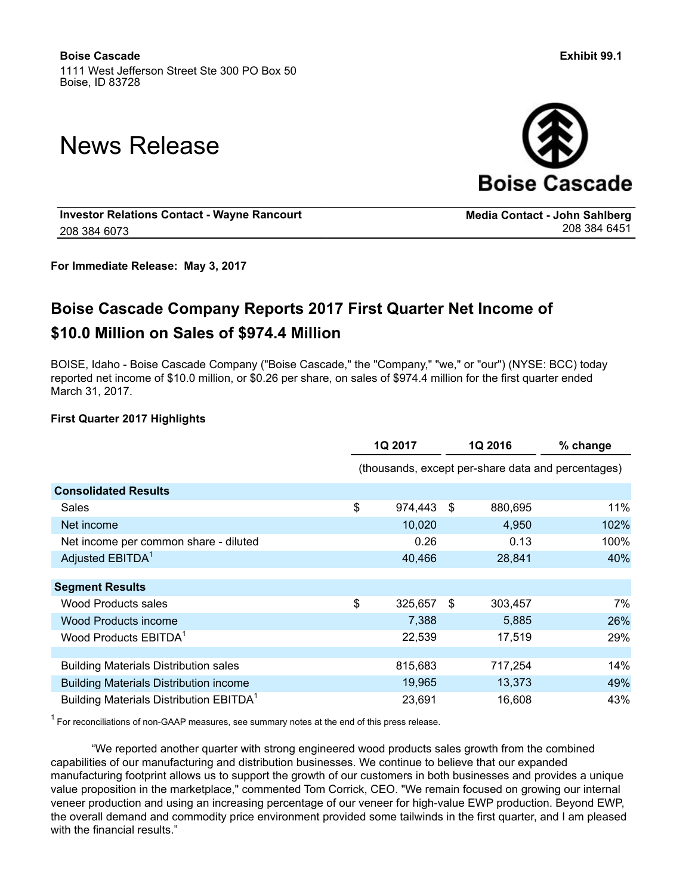# News Release



**Media Contact - John Sahlberg**

**Investor Relations Contact - Wayne Rancourt** 208 384 6073

**For Immediate Release: May 3, 2017**

## **Boise Cascade Company Reports 2017 First Quarter Net Income of \$10.0 Million on Sales of \$974.4 Million**

BOISE, Idaho - Boise Cascade Company ("Boise Cascade," the "Company," "we," or "our") (NYSE: BCC) today reported net income of \$10.0 million, or \$0.26 per share, on sales of \$974.4 million for the first quarter ended March 31, 2017.

#### **First Quarter 2017 Highlights**

|                                                     | 1Q 2017       |    | 1Q 2016 | % change                                           |
|-----------------------------------------------------|---------------|----|---------|----------------------------------------------------|
|                                                     |               |    |         | (thousands, except per-share data and percentages) |
| <b>Consolidated Results</b>                         |               |    |         |                                                    |
| Sales                                               | \$<br>974,443 | \$ | 880,695 | 11%                                                |
| Net income                                          | 10,020        |    | 4,950   | 102%                                               |
| Net income per common share - diluted               | 0.26          |    | 0.13    | 100%                                               |
| Adjusted EBITDA <sup>1</sup>                        | 40,466        |    | 28,841  | 40%                                                |
|                                                     |               |    |         |                                                    |
| <b>Segment Results</b>                              |               |    |         |                                                    |
| <b>Wood Products sales</b>                          | \$<br>325,657 | \$ | 303,457 | 7%                                                 |
| <b>Wood Products income</b>                         | 7,388         |    | 5,885   | 26%                                                |
| Wood Products EBITDA <sup>1</sup>                   | 22,539        |    | 17,519  | 29%                                                |
|                                                     |               |    |         |                                                    |
| <b>Building Materials Distribution sales</b>        | 815,683       |    | 717,254 | 14%                                                |
| <b>Building Materials Distribution income</b>       | 19,965        |    | 13,373  | 49%                                                |
| Building Materials Distribution EBITDA <sup>1</sup> | 23,691        |    | 16,608  | 43%                                                |

 $1$  For reconciliations of non-GAAP measures, see summary notes at the end of this press release.

"We reported another quarter with strong engineered wood products sales growth from the combined capabilities of our manufacturing and distribution businesses. We continue to believe that our expanded manufacturing footprint allows us to support the growth of our customers in both businesses and provides a unique value proposition in the marketplace," commented Tom Corrick, CEO. "We remain focused on growing our internal veneer production and using an increasing percentage of our veneer for high-value EWP production. Beyond EWP, the overall demand and commodity price environment provided some tailwinds in the first quarter, and I am pleased with the financial results."

208 384 6451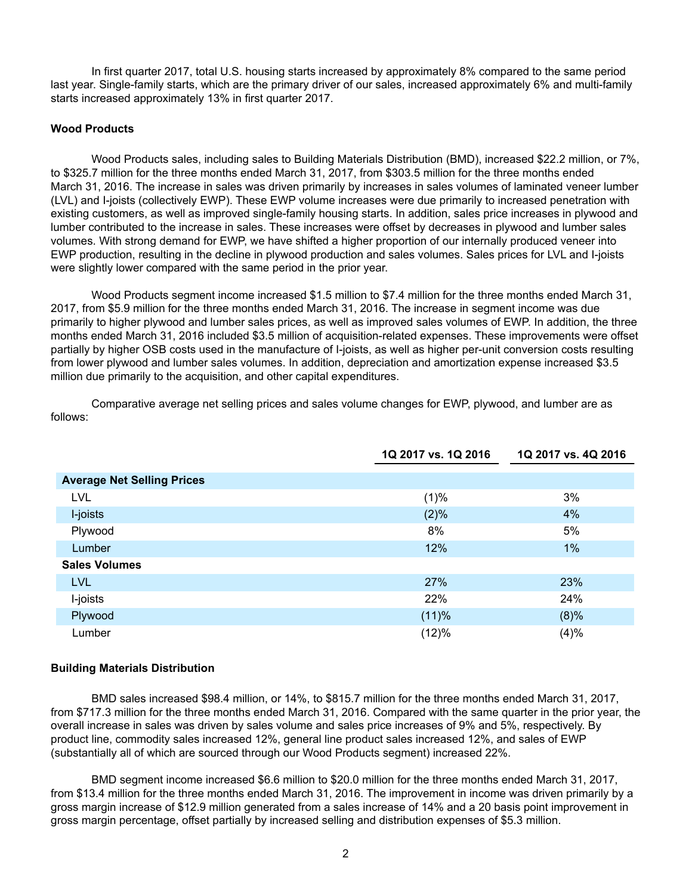In first quarter 2017, total U.S. housing starts increased by approximately 8% compared to the same period last year. Single-family starts, which are the primary driver of our sales, increased approximately 6% and multi-family starts increased approximately 13% in first quarter 2017.

#### **Wood Products**

Wood Products sales, including sales to Building Materials Distribution (BMD), increased \$22.2 million, or 7%, to \$325.7 million for the three months ended March 31, 2017, from \$303.5 million for the three months ended March 31, 2016. The increase in sales was driven primarily by increases in sales volumes of laminated veneer lumber (LVL) and I-joists (collectively EWP). These EWP volume increases were due primarily to increased penetration with existing customers, as well as improved single-family housing starts. In addition, sales price increases in plywood and lumber contributed to the increase in sales. These increases were offset by decreases in plywood and lumber sales volumes. With strong demand for EWP, we have shifted a higher proportion of our internally produced veneer into EWP production, resulting in the decline in plywood production and sales volumes. Sales prices for LVL and I-joists were slightly lower compared with the same period in the prior year.

Wood Products segment income increased \$1.5 million to \$7.4 million for the three months ended March 31, 2017, from \$5.9 million for the three months ended March 31, 2016. The increase in segment income was due primarily to higher plywood and lumber sales prices, as well as improved sales volumes of EWP. In addition, the three months ended March 31, 2016 included \$3.5 million of acquisition-related expenses. These improvements were offset partially by higher OSB costs used in the manufacture of I-joists, as well as higher per-unit conversion costs resulting from lower plywood and lumber sales volumes. In addition, depreciation and amortization expense increased \$3.5 million due primarily to the acquisition, and other capital expenditures.

**1Q 2017 vs. 1Q 2016 1Q 2017 vs. 4Q 2016 Average Net Selling Prices**  $LVL$  and the contract of the contract of the contract of the contract of the contract of the contract of the contract of the contract of the contract of the contract of the contract of the contract of the contract of the I-joists (2)% 4% Plywood 8% 5%  ${\sf Lumber}$  . The contract of the contract of the contract of the contract of the contract of the contract of the contract of the contract of the contract of the contract of the contract of the contract of the contract of the  **Sales Volumes** LVL  $27\%$  23%  $23\%$  I-joists 22% 24%  ${\sf Plywood} \hspace{1.5cm} (8)\%$ Lumber (12)% (4)%

Comparative average net selling prices and sales volume changes for EWP, plywood, and lumber are as follows:

#### **Building Materials Distribution**

BMD sales increased \$98.4 million, or 14%, to \$815.7 million for the three months ended March 31, 2017, from \$717.3 million for the three months ended March 31, 2016. Compared with the same quarter in the prior year, the overall increase in sales was driven by sales volume and sales price increases of 9% and 5%, respectively. By product line, commodity sales increased 12%, general line product sales increased 12%, and sales of EWP (substantially all of which are sourced through our Wood Products segment) increased 22%.

BMD segment income increased \$6.6 million to \$20.0 million for the three months ended March 31, 2017, from \$13.4 million for the three months ended March 31, 2016. The improvement in income was driven primarily by a gross margin increase of \$12.9 million generated from a sales increase of 14% and a 20 basis point improvement in gross margin percentage, offset partially by increased selling and distribution expenses of \$5.3 million.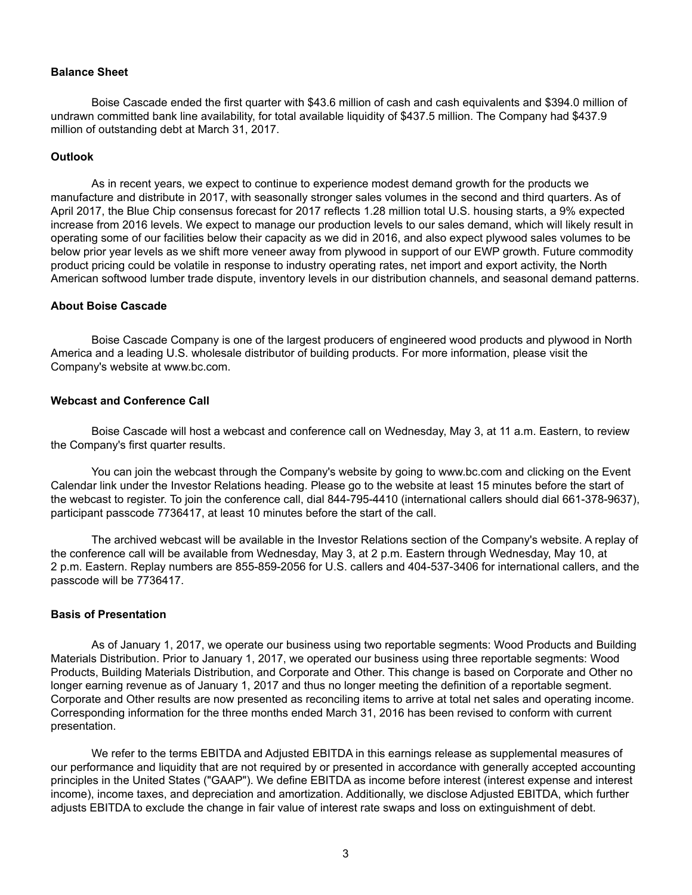#### **Balance Sheet**

Boise Cascade ended the first quarter with \$43.6 million of cash and cash equivalents and \$394.0 million of undrawn committed bank line availability, for total available liquidity of \$437.5 million. The Company had \$437.9 million of outstanding debt at March 31, 2017.

#### **Outlook**

As in recent years, we expect to continue to experience modest demand growth for the products we manufacture and distribute in 2017, with seasonally stronger sales volumes in the second and third quarters. As of April 2017, the Blue Chip consensus forecast for 2017 reflects 1.28 million total U.S. housing starts, a 9% expected increase from 2016 levels. We expect to manage our production levels to our sales demand, which will likely result in operating some of our facilities below their capacity as we did in 2016, and also expect plywood sales volumes to be below prior year levels as we shift more veneer away from plywood in support of our EWP growth. Future commodity product pricing could be volatile in response to industry operating rates, net import and export activity, the North American softwood lumber trade dispute, inventory levels in our distribution channels, and seasonal demand patterns.

#### **About Boise Cascade**

Boise Cascade Company is one of the largest producers of engineered wood products and plywood in North America and a leading U.S. wholesale distributor of building products. For more information, please visit the Company's website at www.bc.com.

#### **Webcast and Conference Call**

Boise Cascade will host a webcast and conference call on Wednesday, May 3, at 11 a.m. Eastern, to review the Company's first quarter results.

You can join the webcast through the Company's website by going to www.bc.com and clicking on the Event Calendar link under the Investor Relations heading. Please go to the website at least 15 minutes before the start of the webcast to register. To join the conference call, dial 844-795-4410 (international callers should dial 661-378-9637), participant passcode 7736417, at least 10 minutes before the start of the call.

The archived webcast will be available in the Investor Relations section of the Company's website. A replay of the conference call will be available from Wednesday, May 3, at 2 p.m. Eastern through Wednesday, May 10, at 2 p.m. Eastern. Replay numbers are 855-859-2056 for U.S. callers and 404-537-3406 for international callers, and the passcode will be 7736417.

#### **Basis of Presentation**

As of January 1, 2017, we operate our business using two reportable segments: Wood Products and Building Materials Distribution. Prior to January 1, 2017, we operated our business using three reportable segments: Wood Products, Building Materials Distribution, and Corporate and Other. This change is based on Corporate and Other no longer earning revenue as of January 1, 2017 and thus no longer meeting the definition of a reportable segment. Corporate and Other results are now presented as reconciling items to arrive at total net sales and operating income. Corresponding information for the three months ended March 31, 2016 has been revised to conform with current presentation.

We refer to the terms EBITDA and Adjusted EBITDA in this earnings release as supplemental measures of our performance and liquidity that are not required by or presented in accordance with generally accepted accounting principles in the United States ("GAAP"). We define EBITDA as income before interest (interest expense and interest income), income taxes, and depreciation and amortization. Additionally, we disclose Adjusted EBITDA, which further adjusts EBITDA to exclude the change in fair value of interest rate swaps and loss on extinguishment of debt.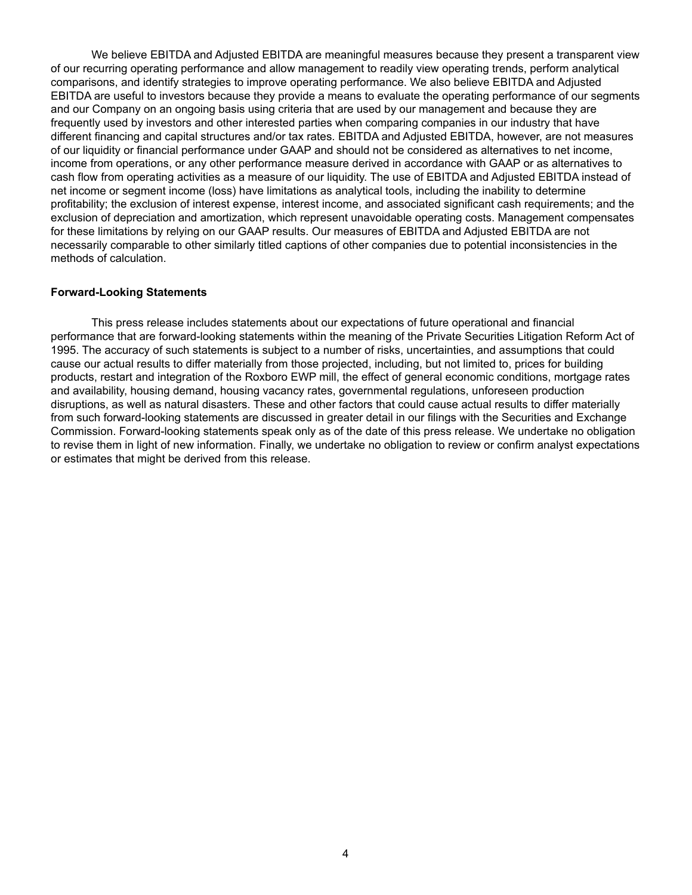We believe EBITDA and Adjusted EBITDA are meaningful measures because they present a transparent view of our recurring operating performance and allow management to readily view operating trends, perform analytical comparisons, and identify strategies to improve operating performance. We also believe EBITDA and Adjusted EBITDA are useful to investors because they provide a means to evaluate the operating performance of our segments and our Company on an ongoing basis using criteria that are used by our management and because they are frequently used by investors and other interested parties when comparing companies in our industry that have different financing and capital structures and/or tax rates. EBITDA and Adjusted EBITDA, however, are not measures of our liquidity or financial performance under GAAP and should not be considered as alternatives to net income, income from operations, or any other performance measure derived in accordance with GAAP or as alternatives to cash flow from operating activities as a measure of our liquidity. The use of EBITDA and Adjusted EBITDA instead of net income or segment income (loss) have limitations as analytical tools, including the inability to determine profitability; the exclusion of interest expense, interest income, and associated significant cash requirements; and the exclusion of depreciation and amortization, which represent unavoidable operating costs. Management compensates for these limitations by relying on our GAAP results. Our measures of EBITDA and Adjusted EBITDA are not necessarily comparable to other similarly titled captions of other companies due to potential inconsistencies in the methods of calculation.

#### **Forward-Looking Statements**

This press release includes statements about our expectations of future operational and financial performance that are forward-looking statements within the meaning of the Private Securities Litigation Reform Act of 1995. The accuracy of such statements is subject to a number of risks, uncertainties, and assumptions that could cause our actual results to differ materially from those projected, including, but not limited to, prices for building products, restart and integration of the Roxboro EWP mill, the effect of general economic conditions, mortgage rates and availability, housing demand, housing vacancy rates, governmental regulations, unforeseen production disruptions, as well as natural disasters. These and other factors that could cause actual results to differ materially from such forward-looking statements are discussed in greater detail in our filings with the Securities and Exchange Commission. Forward-looking statements speak only as of the date of this press release. We undertake no obligation to revise them in light of new information. Finally, we undertake no obligation to review or confirm analyst expectations or estimates that might be derived from this release.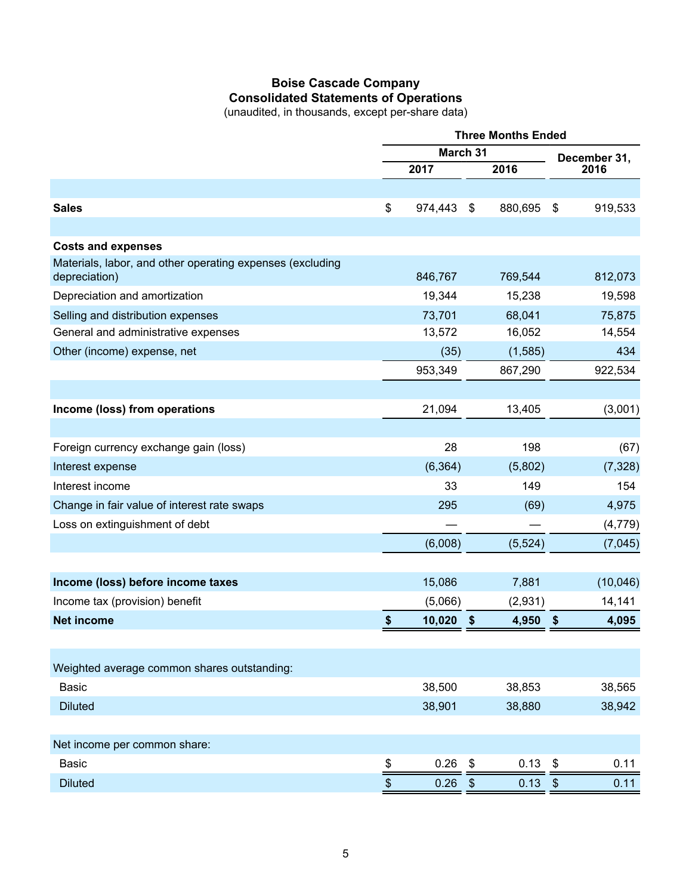## **Boise Cascade Company Consolidated Statements of Operations**

(unaudited, in thousands, except per-share data)

|                                                           | <b>Three Months Ended</b> |          |                   |          |                             |              |
|-----------------------------------------------------------|---------------------------|----------|-------------------|----------|-----------------------------|--------------|
|                                                           | March 31                  |          |                   |          |                             | December 31, |
|                                                           |                           | 2017     |                   | 2016     |                             | 2016         |
|                                                           |                           |          |                   |          |                             |              |
| <b>Sales</b>                                              | \$                        | 974,443  | \$                | 880,695  | \$                          | 919,533      |
|                                                           |                           |          |                   |          |                             |              |
| <b>Costs and expenses</b>                                 |                           |          |                   |          |                             |              |
| Materials, labor, and other operating expenses (excluding |                           |          |                   |          |                             |              |
| depreciation)                                             |                           | 846,767  |                   | 769,544  |                             | 812,073      |
| Depreciation and amortization                             |                           | 19,344   |                   | 15,238   |                             | 19,598       |
| Selling and distribution expenses                         |                           | 73,701   |                   | 68,041   |                             | 75,875       |
| General and administrative expenses                       |                           | 13,572   |                   | 16,052   |                             | 14,554       |
| Other (income) expense, net                               |                           | (35)     |                   | (1,585)  |                             | 434          |
|                                                           |                           | 953,349  |                   | 867,290  |                             | 922,534      |
|                                                           |                           |          |                   |          |                             |              |
| Income (loss) from operations                             |                           | 21,094   |                   | 13,405   |                             | (3,001)      |
|                                                           |                           |          |                   |          |                             |              |
| Foreign currency exchange gain (loss)                     |                           | 28       |                   | 198      |                             | (67)         |
| Interest expense                                          |                           | (6, 364) |                   | (5,802)  |                             | (7, 328)     |
| Interest income                                           |                           | 33       |                   | 149      |                             | 154          |
| Change in fair value of interest rate swaps               |                           | 295      |                   | (69)     |                             | 4,975        |
| Loss on extinguishment of debt                            |                           |          |                   |          |                             | (4, 779)     |
|                                                           |                           | (6,008)  |                   | (5, 524) |                             | (7,045)      |
|                                                           |                           |          |                   |          |                             |              |
| Income (loss) before income taxes                         |                           | 15,086   |                   | 7,881    |                             | (10,046)     |
| Income tax (provision) benefit                            |                           | (5,066)  |                   | (2,931)  |                             | 14,141       |
| <b>Net income</b>                                         | \$                        | 10,020   | \$                | 4,950    | $\boldsymbol{\hat{\theta}}$ | 4,095        |
|                                                           |                           |          |                   |          |                             |              |
| Weighted average common shares outstanding:               |                           |          |                   |          |                             |              |
| <b>Basic</b>                                              |                           | 38,500   |                   | 38,853   |                             | 38,565       |
| <b>Diluted</b>                                            |                           | 38,901   |                   | 38,880   |                             | 38,942       |
|                                                           |                           |          |                   |          |                             |              |
| Net income per common share:                              |                           |          |                   |          |                             |              |
| <b>Basic</b>                                              |                           | 0.26     | \$                | 0.13     | \$                          | 0.11         |
| <b>Diluted</b>                                            | $\frac{\$}{\ }$<br>\$     | 0.26     | $\boldsymbol{\$}$ | 0.13     | $\boldsymbol{\$}$           | 0.11         |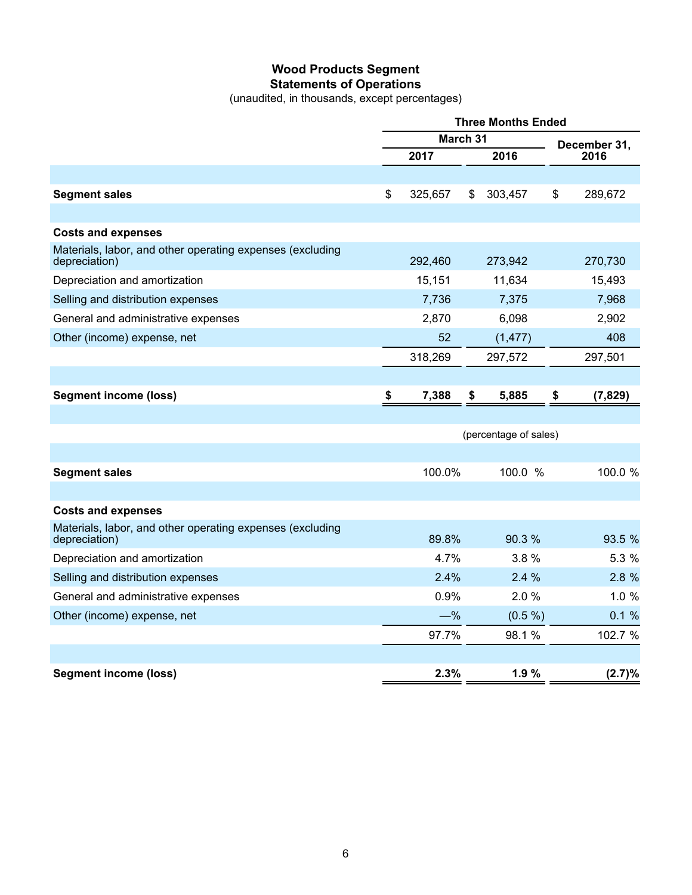## **Wood Products Segment Statements of Operations**

(unaudited, in thousands, except percentages)

|                                                                            | <b>Three Months Ended</b> |         |      |                       |    |              |  |
|----------------------------------------------------------------------------|---------------------------|---------|------|-----------------------|----|--------------|--|
|                                                                            | March 31                  |         |      |                       |    | December 31, |  |
|                                                                            |                           | 2017    | 2016 |                       |    | 2016         |  |
|                                                                            |                           |         |      |                       |    |              |  |
| <b>Segment sales</b>                                                       | \$                        | 325,657 | \$   | 303,457               | \$ | 289,672      |  |
|                                                                            |                           |         |      |                       |    |              |  |
| <b>Costs and expenses</b>                                                  |                           |         |      |                       |    |              |  |
| Materials, labor, and other operating expenses (excluding<br>depreciation) |                           | 292,460 |      | 273,942               |    | 270,730      |  |
| Depreciation and amortization                                              |                           | 15,151  |      | 11,634                |    | 15,493       |  |
| Selling and distribution expenses                                          |                           | 7,736   |      | 7,375                 |    | 7,968        |  |
| General and administrative expenses                                        |                           | 2,870   |      | 6,098                 |    | 2,902        |  |
| Other (income) expense, net                                                |                           | 52      |      | (1, 477)              |    | 408          |  |
|                                                                            |                           | 318,269 |      | 297,572               |    | 297,501      |  |
|                                                                            |                           |         |      |                       |    |              |  |
| <b>Segment income (loss)</b>                                               | \$                        | 7,388   | \$   | 5,885                 | \$ | (7, 829)     |  |
|                                                                            |                           |         |      |                       |    |              |  |
|                                                                            |                           |         |      | (percentage of sales) |    |              |  |
|                                                                            |                           |         |      |                       |    |              |  |
| <b>Segment sales</b>                                                       |                           | 100.0%  |      | 100.0 %               |    | 100.0 %      |  |
|                                                                            |                           |         |      |                       |    |              |  |
| <b>Costs and expenses</b>                                                  |                           |         |      |                       |    |              |  |
| Materials, labor, and other operating expenses (excluding<br>depreciation) |                           | 89.8%   |      | 90.3%                 |    | 93.5 %       |  |
| Depreciation and amortization                                              |                           | 4.7%    |      | 3.8%                  |    | 5.3 %        |  |
| Selling and distribution expenses                                          |                           | 2.4%    |      | 2.4%                  |    | 2.8 %        |  |
| General and administrative expenses                                        |                           | 0.9%    |      | 2.0%                  |    | 1.0%         |  |
| Other (income) expense, net                                                |                           | $-\%$   |      | (0.5 %)               |    | 0.1%         |  |
|                                                                            |                           | 97.7%   |      | 98.1%                 |    | 102.7 %      |  |
|                                                                            |                           |         |      |                       |    |              |  |
| <b>Segment income (loss)</b>                                               |                           | 2.3%    |      | 1.9%                  |    | (2.7)%       |  |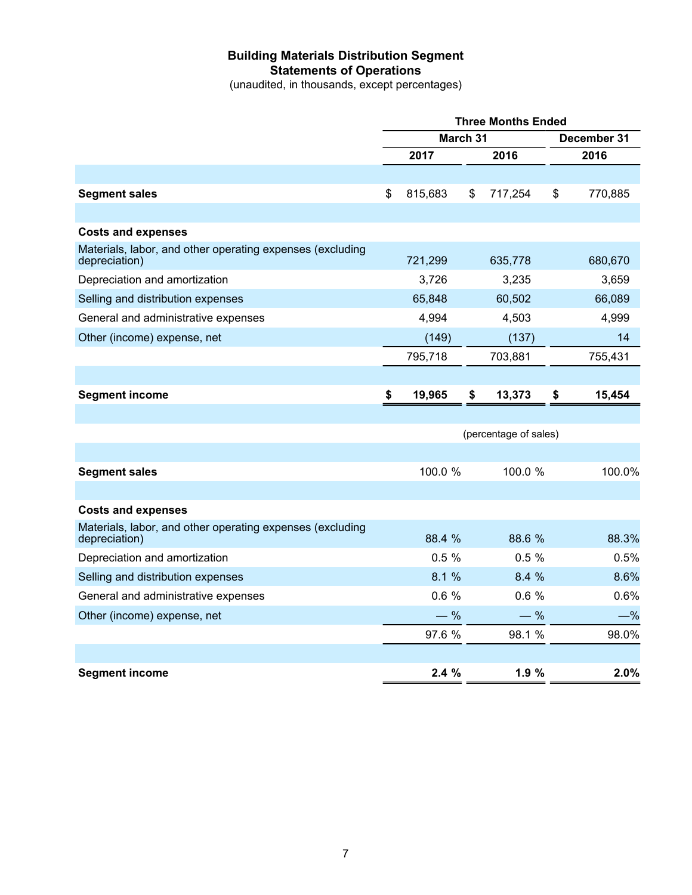## **Building Materials Distribution Segment Statements of Operations**

(unaudited, in thousands, except percentages)

| March 31<br>December 31<br>2017<br>2016<br>2016<br>815,683<br>\$<br>770,885<br><b>Segment sales</b><br>\$<br>\$<br>717,254<br><b>Costs and expenses</b><br>Materials, labor, and other operating expenses (excluding<br>721,299<br>635,778<br>680,670<br>depreciation)<br>Depreciation and amortization<br>3,726<br>3,235<br>3,659<br>65,848<br>60,502<br>Selling and distribution expenses<br>66,089<br>General and administrative expenses<br>4,994<br>4,503<br>4,999<br>(149)<br>(137)<br>14<br>Other (income) expense, net<br>795,718<br>703,881<br>755,431<br><b>Segment income</b><br>\$<br>19,965<br>\$<br>13,373<br>15,454<br>\$<br>(percentage of sales)<br>100.0 %<br>100.0 %<br><b>Segment sales</b><br><b>Costs and expenses</b><br>Materials, labor, and other operating expenses (excluding<br>88.4 %<br>88.6 %<br>depreciation)<br>0.5%<br>0.5%<br>Depreciation and amortization<br>8.1 %<br>8.4 %<br>Selling and distribution expenses<br>0.6%<br>0.6%<br>General and administrative expenses<br>$-$ %<br>$-$ %<br>Other (income) expense, net<br>97.6 %<br>98.1 %<br>2.4%<br>1.9%<br><b>Segment income</b> | <b>Three Months Ended</b> |  |  |  |  |        |  |
|-----------------------------------------------------------------------------------------------------------------------------------------------------------------------------------------------------------------------------------------------------------------------------------------------------------------------------------------------------------------------------------------------------------------------------------------------------------------------------------------------------------------------------------------------------------------------------------------------------------------------------------------------------------------------------------------------------------------------------------------------------------------------------------------------------------------------------------------------------------------------------------------------------------------------------------------------------------------------------------------------------------------------------------------------------------------------------------------------------------------------------|---------------------------|--|--|--|--|--------|--|
|                                                                                                                                                                                                                                                                                                                                                                                                                                                                                                                                                                                                                                                                                                                                                                                                                                                                                                                                                                                                                                                                                                                             |                           |  |  |  |  |        |  |
|                                                                                                                                                                                                                                                                                                                                                                                                                                                                                                                                                                                                                                                                                                                                                                                                                                                                                                                                                                                                                                                                                                                             |                           |  |  |  |  |        |  |
|                                                                                                                                                                                                                                                                                                                                                                                                                                                                                                                                                                                                                                                                                                                                                                                                                                                                                                                                                                                                                                                                                                                             |                           |  |  |  |  |        |  |
|                                                                                                                                                                                                                                                                                                                                                                                                                                                                                                                                                                                                                                                                                                                                                                                                                                                                                                                                                                                                                                                                                                                             |                           |  |  |  |  |        |  |
|                                                                                                                                                                                                                                                                                                                                                                                                                                                                                                                                                                                                                                                                                                                                                                                                                                                                                                                                                                                                                                                                                                                             |                           |  |  |  |  |        |  |
|                                                                                                                                                                                                                                                                                                                                                                                                                                                                                                                                                                                                                                                                                                                                                                                                                                                                                                                                                                                                                                                                                                                             |                           |  |  |  |  |        |  |
|                                                                                                                                                                                                                                                                                                                                                                                                                                                                                                                                                                                                                                                                                                                                                                                                                                                                                                                                                                                                                                                                                                                             |                           |  |  |  |  |        |  |
|                                                                                                                                                                                                                                                                                                                                                                                                                                                                                                                                                                                                                                                                                                                                                                                                                                                                                                                                                                                                                                                                                                                             |                           |  |  |  |  |        |  |
|                                                                                                                                                                                                                                                                                                                                                                                                                                                                                                                                                                                                                                                                                                                                                                                                                                                                                                                                                                                                                                                                                                                             |                           |  |  |  |  |        |  |
|                                                                                                                                                                                                                                                                                                                                                                                                                                                                                                                                                                                                                                                                                                                                                                                                                                                                                                                                                                                                                                                                                                                             |                           |  |  |  |  |        |  |
|                                                                                                                                                                                                                                                                                                                                                                                                                                                                                                                                                                                                                                                                                                                                                                                                                                                                                                                                                                                                                                                                                                                             |                           |  |  |  |  |        |  |
|                                                                                                                                                                                                                                                                                                                                                                                                                                                                                                                                                                                                                                                                                                                                                                                                                                                                                                                                                                                                                                                                                                                             |                           |  |  |  |  |        |  |
|                                                                                                                                                                                                                                                                                                                                                                                                                                                                                                                                                                                                                                                                                                                                                                                                                                                                                                                                                                                                                                                                                                                             |                           |  |  |  |  |        |  |
|                                                                                                                                                                                                                                                                                                                                                                                                                                                                                                                                                                                                                                                                                                                                                                                                                                                                                                                                                                                                                                                                                                                             |                           |  |  |  |  |        |  |
|                                                                                                                                                                                                                                                                                                                                                                                                                                                                                                                                                                                                                                                                                                                                                                                                                                                                                                                                                                                                                                                                                                                             |                           |  |  |  |  |        |  |
|                                                                                                                                                                                                                                                                                                                                                                                                                                                                                                                                                                                                                                                                                                                                                                                                                                                                                                                                                                                                                                                                                                                             |                           |  |  |  |  |        |  |
|                                                                                                                                                                                                                                                                                                                                                                                                                                                                                                                                                                                                                                                                                                                                                                                                                                                                                                                                                                                                                                                                                                                             |                           |  |  |  |  |        |  |
|                                                                                                                                                                                                                                                                                                                                                                                                                                                                                                                                                                                                                                                                                                                                                                                                                                                                                                                                                                                                                                                                                                                             |                           |  |  |  |  | 100.0% |  |
|                                                                                                                                                                                                                                                                                                                                                                                                                                                                                                                                                                                                                                                                                                                                                                                                                                                                                                                                                                                                                                                                                                                             |                           |  |  |  |  |        |  |
|                                                                                                                                                                                                                                                                                                                                                                                                                                                                                                                                                                                                                                                                                                                                                                                                                                                                                                                                                                                                                                                                                                                             |                           |  |  |  |  |        |  |
|                                                                                                                                                                                                                                                                                                                                                                                                                                                                                                                                                                                                                                                                                                                                                                                                                                                                                                                                                                                                                                                                                                                             |                           |  |  |  |  | 88.3%  |  |
|                                                                                                                                                                                                                                                                                                                                                                                                                                                                                                                                                                                                                                                                                                                                                                                                                                                                                                                                                                                                                                                                                                                             |                           |  |  |  |  | 0.5%   |  |
|                                                                                                                                                                                                                                                                                                                                                                                                                                                                                                                                                                                                                                                                                                                                                                                                                                                                                                                                                                                                                                                                                                                             |                           |  |  |  |  | 8.6%   |  |
|                                                                                                                                                                                                                                                                                                                                                                                                                                                                                                                                                                                                                                                                                                                                                                                                                                                                                                                                                                                                                                                                                                                             |                           |  |  |  |  | 0.6%   |  |
|                                                                                                                                                                                                                                                                                                                                                                                                                                                                                                                                                                                                                                                                                                                                                                                                                                                                                                                                                                                                                                                                                                                             |                           |  |  |  |  | $-\%$  |  |
|                                                                                                                                                                                                                                                                                                                                                                                                                                                                                                                                                                                                                                                                                                                                                                                                                                                                                                                                                                                                                                                                                                                             |                           |  |  |  |  | 98.0%  |  |
|                                                                                                                                                                                                                                                                                                                                                                                                                                                                                                                                                                                                                                                                                                                                                                                                                                                                                                                                                                                                                                                                                                                             |                           |  |  |  |  |        |  |
|                                                                                                                                                                                                                                                                                                                                                                                                                                                                                                                                                                                                                                                                                                                                                                                                                                                                                                                                                                                                                                                                                                                             |                           |  |  |  |  | 2.0%   |  |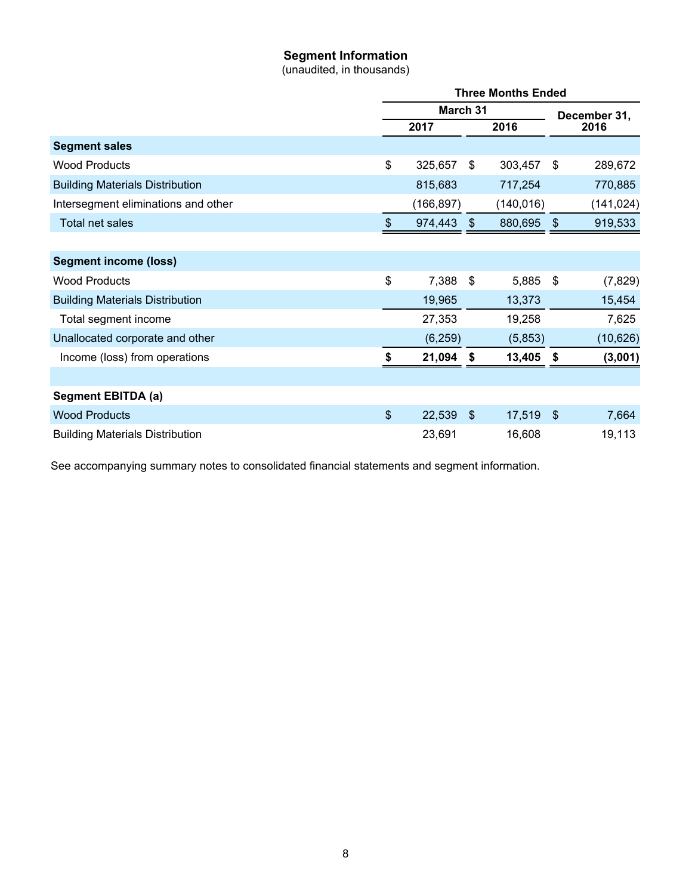## **Segment Information**

(unaudited, in thousands)

|                                        |                | <b>Three Months Ended</b> |               |                      |                         |            |  |  |
|----------------------------------------|----------------|---------------------------|---------------|----------------------|-------------------------|------------|--|--|
|                                        |                | March 31                  |               | December 31,<br>2016 |                         |            |  |  |
|                                        |                | 2017                      | 2016          |                      |                         |            |  |  |
| <b>Segment sales</b>                   |                |                           |               |                      |                         |            |  |  |
| <b>Wood Products</b>                   | \$             | 325,657                   | \$            | 303,457              | \$                      | 289,672    |  |  |
| <b>Building Materials Distribution</b> |                | 815,683                   |               | 717,254              |                         | 770,885    |  |  |
| Intersegment eliminations and other    |                | (166, 897)                |               | (140, 016)           |                         | (141, 024) |  |  |
| Total net sales                        | $\frac{1}{2}$  | 974,443                   | $\mathcal{F}$ | 880,695              | $\sqrt[6]{\frac{1}{2}}$ | 919,533    |  |  |
|                                        |                |                           |               |                      |                         |            |  |  |
| <b>Segment income (loss)</b>           |                |                           |               |                      |                         |            |  |  |
| <b>Wood Products</b>                   | \$             | 7,388                     | \$            | 5,885                | \$                      | (7, 829)   |  |  |
| <b>Building Materials Distribution</b> |                | 19,965                    |               | 13,373               |                         | 15,454     |  |  |
| Total segment income                   |                | 27,353                    |               | 19,258               |                         | 7,625      |  |  |
| Unallocated corporate and other        |                | (6, 259)                  |               | (5,853)              |                         | (10, 626)  |  |  |
| Income (loss) from operations          | \$             | 21,094                    | \$            | 13,405               | \$                      | (3,001)    |  |  |
|                                        |                |                           |               |                      |                         |            |  |  |
| Segment EBITDA (a)                     |                |                           |               |                      |                         |            |  |  |
| <b>Wood Products</b>                   | $\mathfrak{S}$ | 22,539                    | \$            | 17,519               | \$                      | 7,664      |  |  |
| <b>Building Materials Distribution</b> |                | 23,691                    |               | 16,608               |                         | 19,113     |  |  |

See accompanying summary notes to consolidated financial statements and segment information.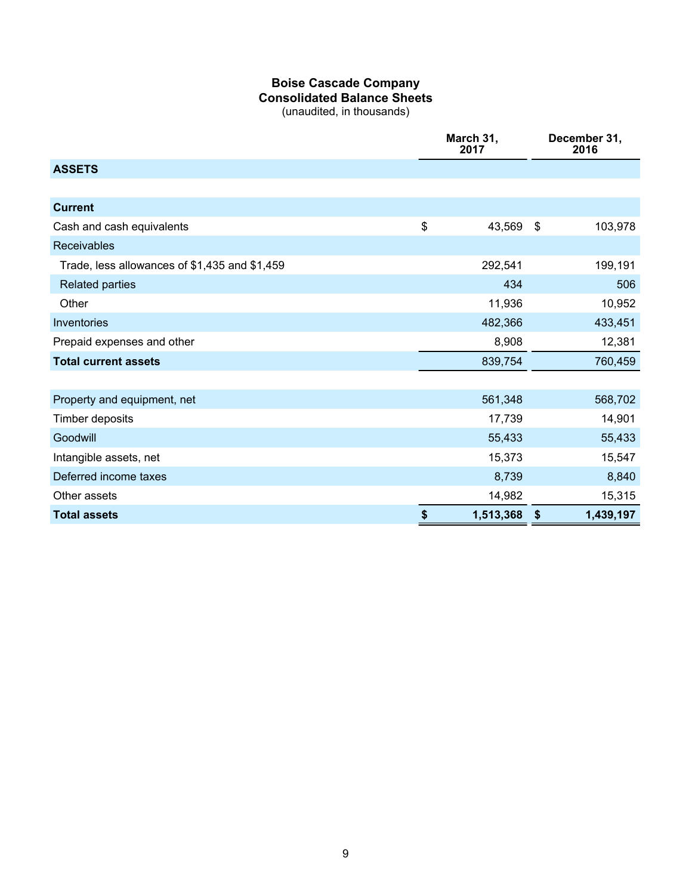## **Boise Cascade Company Consolidated Balance Sheets**

(unaudited, in thousands)

|                                               | March 31,<br>2017 |           |                           | December 31,<br>2016 |
|-----------------------------------------------|-------------------|-----------|---------------------------|----------------------|
| <b>ASSETS</b>                                 |                   |           |                           |                      |
|                                               |                   |           |                           |                      |
| <b>Current</b>                                |                   |           |                           |                      |
| Cash and cash equivalents                     | \$                | 43,569    | $\boldsymbol{\mathsf{S}}$ | 103,978              |
| <b>Receivables</b>                            |                   |           |                           |                      |
| Trade, less allowances of \$1,435 and \$1,459 |                   | 292,541   |                           | 199,191              |
| <b>Related parties</b>                        |                   | 434       |                           | 506                  |
| Other                                         |                   | 11,936    |                           | 10,952               |
| Inventories                                   |                   | 482,366   |                           | 433,451              |
| Prepaid expenses and other                    |                   | 8,908     |                           | 12,381               |
| <b>Total current assets</b>                   |                   | 839,754   |                           | 760,459              |
|                                               |                   |           |                           |                      |
| Property and equipment, net                   |                   | 561,348   |                           | 568,702              |
| Timber deposits                               |                   | 17,739    |                           | 14,901               |
| Goodwill                                      |                   | 55,433    |                           | 55,433               |
| Intangible assets, net                        |                   | 15,373    |                           | 15,547               |
| Deferred income taxes                         |                   | 8,739     |                           | 8,840                |
| Other assets                                  |                   | 14,982    |                           | 15,315               |
| <b>Total assets</b>                           | \$                | 1,513,368 | \$                        | 1,439,197            |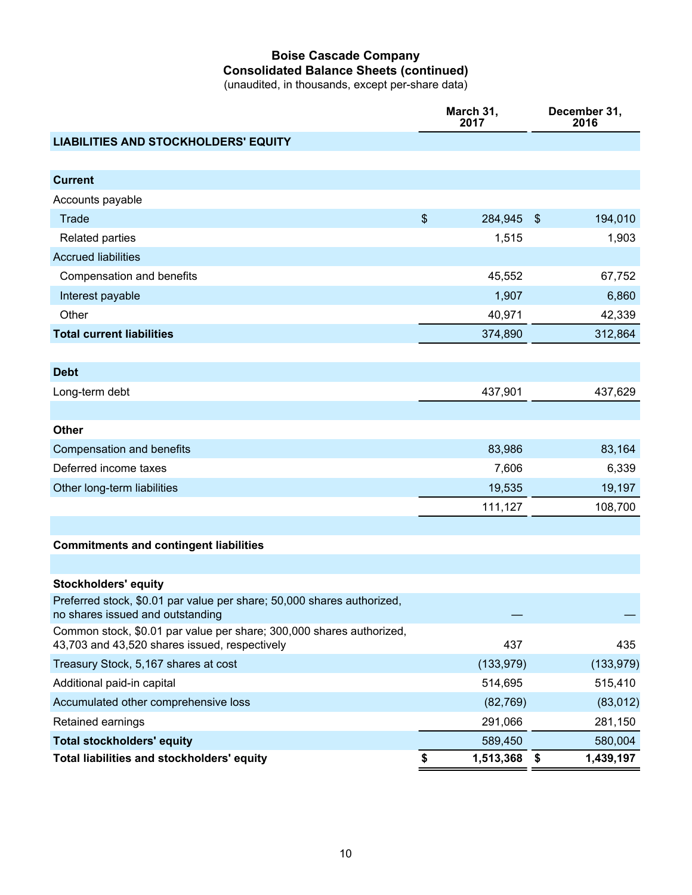## **Boise Cascade Company Consolidated Balance Sheets (continued)**

(unaudited, in thousands, except per-share data)

|                                                                                                                       | March 31,<br>2017 |            |               | December 31,<br>2016 |
|-----------------------------------------------------------------------------------------------------------------------|-------------------|------------|---------------|----------------------|
| <b>LIABILITIES AND STOCKHOLDERS' EQUITY</b>                                                                           |                   |            |               |                      |
|                                                                                                                       |                   |            |               |                      |
| <b>Current</b>                                                                                                        |                   |            |               |                      |
| Accounts payable                                                                                                      |                   |            |               |                      |
| Trade                                                                                                                 | $\$\$             | 284,945    | $\sqrt[6]{3}$ | 194,010              |
| <b>Related parties</b>                                                                                                |                   | 1,515      |               | 1,903                |
| <b>Accrued liabilities</b>                                                                                            |                   |            |               |                      |
| Compensation and benefits                                                                                             |                   | 45,552     |               | 67,752               |
| Interest payable                                                                                                      |                   | 1,907      |               | 6,860                |
| Other                                                                                                                 |                   | 40,971     |               | 42,339               |
| <b>Total current liabilities</b>                                                                                      |                   | 374,890    |               | 312,864              |
|                                                                                                                       |                   |            |               |                      |
| <b>Debt</b>                                                                                                           |                   |            |               |                      |
| Long-term debt                                                                                                        |                   | 437,901    |               | 437,629              |
|                                                                                                                       |                   |            |               |                      |
| <b>Other</b>                                                                                                          |                   |            |               |                      |
| Compensation and benefits                                                                                             |                   | 83,986     |               | 83,164               |
| Deferred income taxes                                                                                                 |                   | 7,606      |               | 6,339                |
| Other long-term liabilities                                                                                           |                   | 19,535     |               | 19,197               |
|                                                                                                                       |                   | 111,127    |               | 108,700              |
|                                                                                                                       |                   |            |               |                      |
| <b>Commitments and contingent liabilities</b>                                                                         |                   |            |               |                      |
|                                                                                                                       |                   |            |               |                      |
| <b>Stockholders' equity</b>                                                                                           |                   |            |               |                      |
| Preferred stock, \$0.01 par value per share; 50,000 shares authorized,<br>no shares issued and outstanding            |                   |            |               |                      |
| Common stock, \$0.01 par value per share; 300,000 shares authorized,<br>43,703 and 43,520 shares issued, respectively |                   | 437        |               | 435                  |
| Treasury Stock, 5,167 shares at cost                                                                                  |                   | (133, 979) |               | (133, 979)           |
| Additional paid-in capital                                                                                            |                   | 514,695    |               | 515,410              |
| Accumulated other comprehensive loss                                                                                  |                   | (82, 769)  |               | (83, 012)            |
| Retained earnings                                                                                                     |                   | 291,066    |               | 281,150              |
| <b>Total stockholders' equity</b>                                                                                     |                   | 589,450    |               | 580,004              |
| Total liabilities and stockholders' equity                                                                            | \$                | 1,513,368  | \$            | 1,439,197            |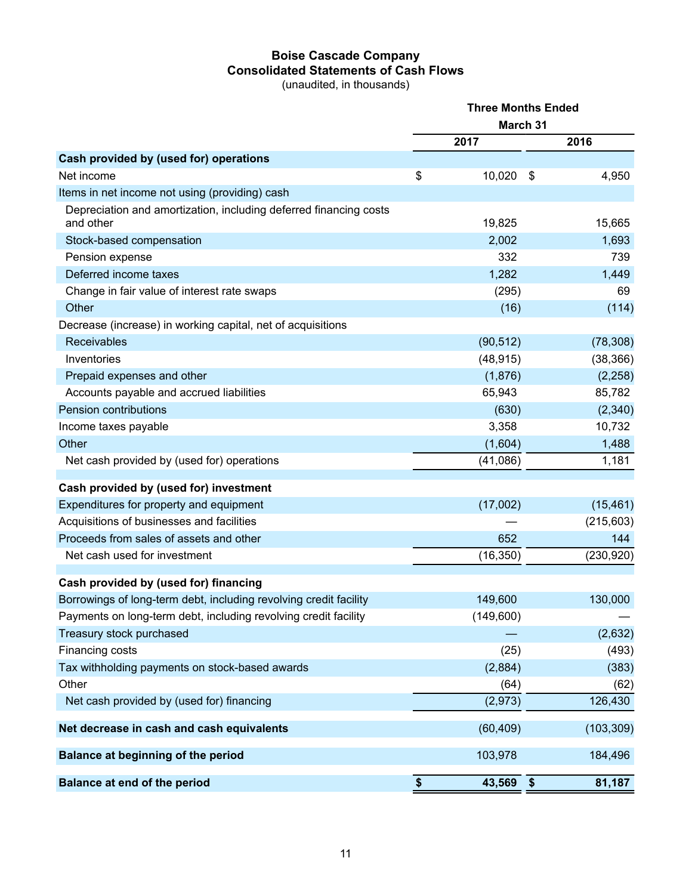## **Boise Cascade Company Consolidated Statements of Cash Flows**

(unaudited, in thousands)

|                                                                                | <b>Three Months Ended</b> |           |            |            |  |  |
|--------------------------------------------------------------------------------|---------------------------|-----------|------------|------------|--|--|
|                                                                                |                           |           |            |            |  |  |
|                                                                                |                           | 2017      |            | 2016       |  |  |
| Cash provided by (used for) operations                                         |                           |           |            |            |  |  |
| Net income                                                                     | \$                        | 10,020    | \$         | 4,950      |  |  |
| Items in net income not using (providing) cash                                 |                           |           |            |            |  |  |
| Depreciation and amortization, including deferred financing costs<br>and other |                           | 19,825    |            | 15,665     |  |  |
| Stock-based compensation                                                       |                           | 2,002     |            | 1,693      |  |  |
| Pension expense                                                                |                           | 332       |            | 739        |  |  |
| Deferred income taxes                                                          |                           | 1,282     |            | 1,449      |  |  |
| Change in fair value of interest rate swaps                                    |                           | (295)     |            | 69         |  |  |
| Other                                                                          |                           | (16)      |            | (114)      |  |  |
| Decrease (increase) in working capital, net of acquisitions                    |                           |           |            |            |  |  |
| Receivables                                                                    |                           | (90, 512) |            | (78, 308)  |  |  |
| Inventories                                                                    |                           | (48, 915) |            | (38, 366)  |  |  |
| Prepaid expenses and other                                                     |                           | (1,876)   |            | (2, 258)   |  |  |
| Accounts payable and accrued liabilities                                       |                           | 65,943    |            | 85,782     |  |  |
| Pension contributions                                                          |                           | (630)     |            | (2,340)    |  |  |
| Income taxes payable                                                           |                           | 3,358     |            | 10,732     |  |  |
| Other                                                                          |                           | (1,604)   |            | 1,488      |  |  |
| Net cash provided by (used for) operations                                     |                           | (41,086)  |            | 1,181      |  |  |
| Cash provided by (used for) investment                                         |                           |           |            |            |  |  |
| Expenditures for property and equipment                                        |                           | (17,002)  |            | (15, 461)  |  |  |
| Acquisitions of businesses and facilities                                      |                           |           |            | (215,603)  |  |  |
| Proceeds from sales of assets and other                                        |                           | 652       |            | 144        |  |  |
| Net cash used for investment                                                   |                           | (16, 350) |            | (230, 920) |  |  |
| Cash provided by (used for) financing                                          |                           |           |            |            |  |  |
| Borrowings of long-term debt, including revolving credit facility              |                           | 149,600   |            | 130,000    |  |  |
| Payments on long-term debt, including revolving credit facility                |                           | (149,600) |            |            |  |  |
| Treasury stock purchased                                                       |                           |           |            | (2,632)    |  |  |
| Financing costs                                                                |                           | (25)      |            | (493)      |  |  |
| Tax withholding payments on stock-based awards                                 |                           | (2,884)   |            | (383)      |  |  |
| Other                                                                          |                           | (64)      |            | (62)       |  |  |
| Net cash provided by (used for) financing                                      |                           | (2,973)   |            | 126,430    |  |  |
| Net decrease in cash and cash equivalents                                      |                           | (60, 409) |            | (103, 309) |  |  |
| Balance at beginning of the period                                             |                           | 103,978   |            | 184,496    |  |  |
| Balance at end of the period                                                   | $\boldsymbol{\$}$         | 43,569    | $\sqrt{3}$ | 81,187     |  |  |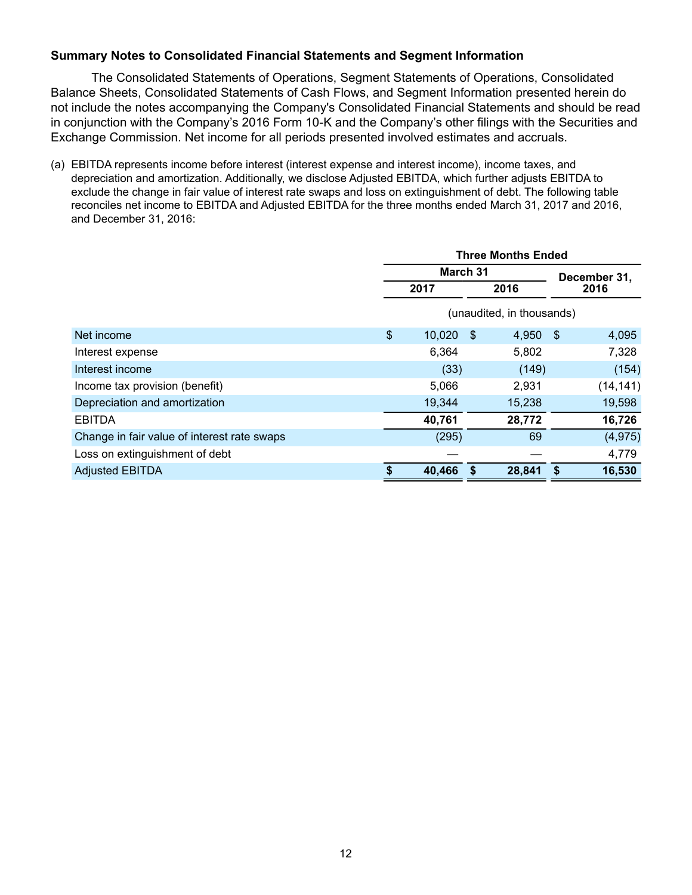#### **Summary Notes to Consolidated Financial Statements and Segment Information**

The Consolidated Statements of Operations, Segment Statements of Operations, Consolidated Balance Sheets, Consolidated Statements of Cash Flows, and Segment Information presented herein do not include the notes accompanying the Company's Consolidated Financial Statements and should be read in conjunction with the Company's 2016 Form 10-K and the Company's other filings with the Securities and Exchange Commission. Net income for all periods presented involved estimates and accruals.

(a) EBITDA represents income before interest (interest expense and interest income), income taxes, and depreciation and amortization. Additionally, we disclose Adjusted EBITDA, which further adjusts EBITDA to exclude the change in fair value of interest rate swaps and loss on extinguishment of debt. The following table reconciles net income to EBITDA and Adjusted EBITDA for the three months ended March 31, 2017 and 2016, and December 31, 2016:

|                                             |               | <b>Three Months Ended</b> |      |                           |              |           |  |  |  |
|---------------------------------------------|---------------|---------------------------|------|---------------------------|--------------|-----------|--|--|--|
|                                             |               | March 31                  |      |                           | December 31, |           |  |  |  |
|                                             |               | 2017                      |      | 2016                      |              | 2016      |  |  |  |
|                                             |               |                           |      | (unaudited, in thousands) |              |           |  |  |  |
| Net income                                  | $\frac{1}{2}$ | 10,020                    | - \$ | 4,950                     | - \$         | 4,095     |  |  |  |
| Interest expense                            |               | 6,364                     |      | 5,802                     |              | 7,328     |  |  |  |
| Interest income                             |               | (33)                      |      | (149)                     |              | (154)     |  |  |  |
| Income tax provision (benefit)              |               | 5,066                     |      | 2,931                     |              | (14, 141) |  |  |  |
| Depreciation and amortization               |               | 19,344                    |      | 15,238                    |              | 19,598    |  |  |  |
| <b>EBITDA</b>                               |               | 40,761                    |      | 28,772                    |              | 16,726    |  |  |  |
| Change in fair value of interest rate swaps |               | (295)                     |      | 69                        |              | (4, 975)  |  |  |  |
| Loss on extinguishment of debt              |               |                           |      |                           |              | 4,779     |  |  |  |
| <b>Adjusted EBITDA</b>                      | \$            | 40,466                    | \$   | 28,841                    | -S           | 16,530    |  |  |  |